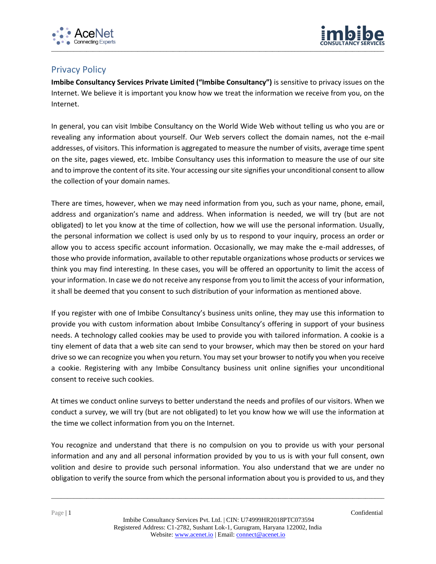



## Privacy Policy

**Imbibe Consultancy Services Private Limited ("Imbibe Consultancy")** is sensitive to privacy issues on the Internet. We believe it is important you know how we treat the information we receive from you, on the Internet.

In general, you can visit Imbibe Consultancy on the World Wide Web without telling us who you are or revealing any information about yourself. Our Web servers collect the domain names, not the e-mail addresses, of visitors. This information is aggregated to measure the number of visits, average time spent on the site, pages viewed, etc. Imbibe Consultancy uses this information to measure the use of our site and to improve the content of its site. Your accessing our site signifies your unconditional consent to allow the collection of your domain names.

There are times, however, when we may need information from you, such as your name, phone, email, address and organization's name and address. When information is needed, we will try (but are not obligated) to let you know at the time of collection, how we will use the personal information. Usually, the personal information we collect is used only by us to respond to your inquiry, process an order or allow you to access specific account information. Occasionally, we may make the e-mail addresses, of those who provide information, available to other reputable organizations whose products or services we think you may find interesting. In these cases, you will be offered an opportunity to limit the access of your information. In case we do not receive any response from you to limit the access of your information, it shall be deemed that you consent to such distribution of your information as mentioned above.

If you register with one of Imbibe Consultancy's business units online, they may use this information to provide you with custom information about Imbibe Consultancy's offering in support of your business needs. A technology called cookies may be used to provide you with tailored information. A cookie is a tiny element of data that a web site can send to your browser, which may then be stored on your hard drive so we can recognize you when you return. You may set your browser to notify you when you receive a cookie. Registering with any Imbibe Consultancy business unit online signifies your unconditional consent to receive such cookies.

At times we conduct online surveys to better understand the needs and profiles of our visitors. When we conduct a survey, we will try (but are not obligated) to let you know how we will use the information at the time we collect information from you on the Internet.

You recognize and understand that there is no compulsion on you to provide us with your personal information and any and all personal information provided by you to us is with your full consent, own volition and desire to provide such personal information. You also understand that we are under no obligation to verify the source from which the personal information about you is provided to us, and they

\_\_\_\_\_\_\_\_\_\_\_\_\_\_\_\_\_\_\_\_\_\_\_\_\_\_\_\_\_\_\_\_\_\_\_\_\_\_\_\_\_\_\_\_\_\_\_\_\_\_\_\_\_\_\_\_\_\_\_\_\_\_\_\_\_\_\_\_\_\_\_\_\_\_\_\_\_\_\_\_\_\_\_\_\_\_\_\_\_\_\_\_\_\_\_\_\_\_\_\_\_\_\_\_